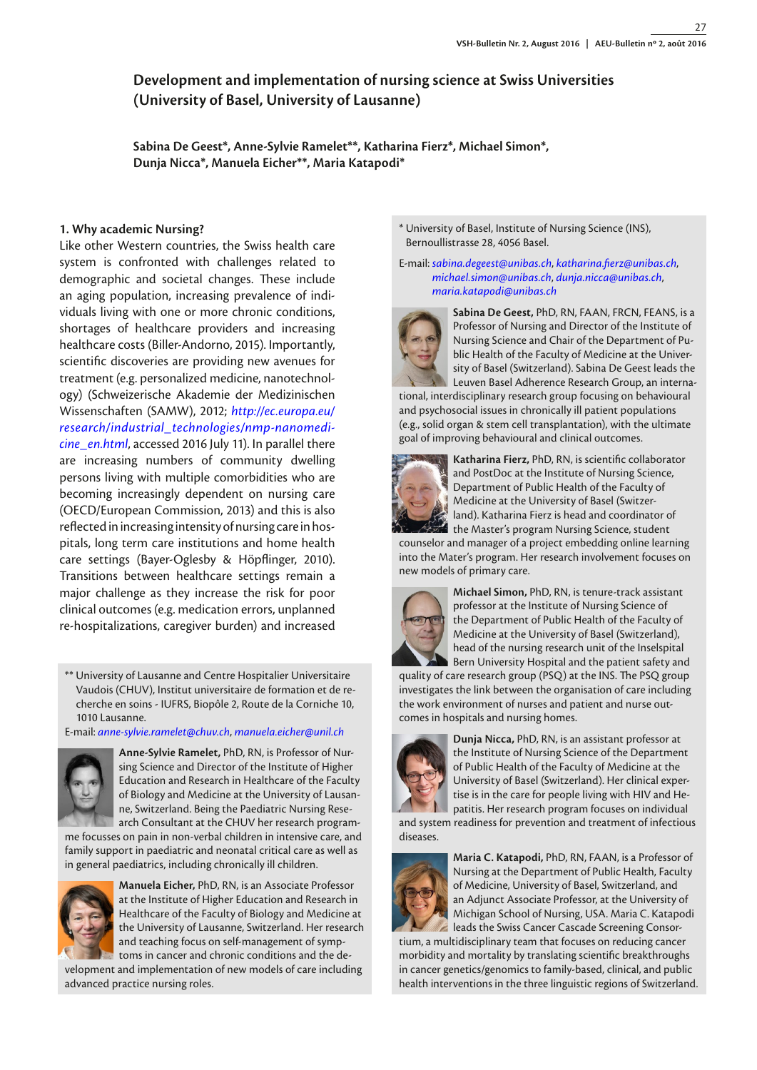# **Development and implementation of nursing science at Swiss Universities (University of Basel, University of Lausanne)**

**Sabina De Geest\*, Anne-Sylvie Ramelet\*\*, Katharina Fierz\*, Michael Simon\*, Dunja Nicca\*, Manuela Eicher\*\*, Maria Katapodi\***

# **1. Why academic Nursing?**

Like other Western countries, the Swiss health care system is confronted with challenges related to demographic and societal changes. These include an aging population, increasing prevalence of individuals living with one or more chronic conditions, shortages of healthcare providers and increasing healthcare costs (Biller-Andorno, 2015). Importantly, scientific discoveries are providing new avenues for treatment (e.g. personalized medicine, nanotechnology) (Schweizerische Akademie der Medizinischen Wissenschaften (SAMW), 2012; *http://ec.europa.eu/ [research/industrial\\_technologies/nmp-nanomedi](http://ec.europa.eu/research/industrial_technologies/nmp-nanomedicine_en.html)cine\_en.html*, accessed 2016 July 11). In parallel there are increasing numbers of community dwelling persons living with multiple comorbidities who are becoming increasingly dependent on nursing care (OECD/European Commission, 2013) and this is also reflected in increasing intensity of nursing care in hospitals, long term care institutions and home health care settings (Bayer-Oglesby & Höpflinger, 2010). Transitions between healthcare settings remain a major challenge as they increase the risk for poor clinical outcomes (e.g. medication errors, unplanned re-hospitalizations, caregiver burden) and increased

\*\* University of Lausanne and Centre Hospitalier Universitaire Vaudois (CHUV), Institut universitaire de formation et de recherche en soins - IUFRS, Biopôle 2, Route de la Corniche 10, 1010 Lausanne.

E-mail: *[anne-sylvie.ramelet@chuv.ch](mailto:anne-sylvie.ramelet@chuv.ch)*, *[manuela.eicher@unil.ch](mailto:manuela.eicher@unil.ch)*



**Anne-Sylvie Ramelet,** PhD, RN, is Professor of Nursing Science and Director of the Institute of Higher Education and Research in Healthcare of the Faculty of Biology and Medicine at the University of Lausanne, Switzerland. Being the Paediatric Nursing Research Consultant at the CHUV her research program-

me focusses on pain in non-verbal children in intensive care, and family support in paediatric and neonatal critical care as well as in general paediatrics, including chronically ill children.



**Manuela Eicher,** PhD, RN, is an Associate Professor at the Institute of Higher Education and Research in Healthcare of the Faculty of Biology and Medicine at the University of Lausanne, Switzerland. Her research and teaching focus on self-management of symptoms in cancer and chronic conditions and the de-

velopment and implementation of new models of care including advanced practice nursing roles.

\* University of Basel, Institute of Nursing Science (INS), Bernoullistrasse 28, 4056 Basel.

E-mail: *[sabina.degeest@unibas.ch](mailto:sabina.degeest@unibas.ch)*, *[katharina.fierz@unibas.ch](mailto:katharina.fierz@unibas.ch)*, *[michael.simon@unibas.ch](mailto:michael.simon@unibas.ch)*, *[dunja.nicca@unibas.ch](mailto:dunja.nicca@unibas.ch)*, *[maria.katapodi@unibas.ch](mailto:maria.katapodi@unibas.ch)*



**Sabina De Geest,** PhD, RN, FAAN, FRCN, FEANS, is a Professor of Nursing and Director of the Institute of Nursing Science and Chair of the Department of Public Health of the Faculty of Medicine at the University of Basel (Switzerland). Sabina De Geest leads the Leuven Basel Adherence Research Group, an interna-

tional, interdisciplinary research group focusing on behavioural and psychosocial issues in chronically ill patient populations (e.g., solid organ & stem cell transplantation), with the ultimate goal of improving behavioural and clinical outcomes.



**Katharina Fierz,** PhD, RN, is scientific collaborator and PostDoc at the Institute of Nursing Science, Department of Public Health of the Faculty of Medicine at the University of Basel (Switzerland). Katharina Fierz is head and coordinator of the Master's program Nursing Science, student

counselor and manager of a project embedding online learning into the Mater's program. Her research involvement focuses on new models of primary care.



**Michael Simon,** PhD, RN, is tenure-track assistant professor at the Institute of Nursing Science of the Department of Public Health of the Faculty of Medicine at the University of Basel (Switzerland), head of the nursing research unit of the Inselspital Bern University Hospital and the patient safety and

quality of care research group (PSQ) at the INS. The PSQ group investigates the link between the organisation of care including the work environment of nurses and patient and nurse outcomes in hospitals and nursing homes.



**Dunja Nicca,** PhD, RN, is an assistant professor at the Institute of Nursing Science of the Department of Public Health of the Faculty of Medicine at the University of Basel (Switzerland). Her clinical expertise is in the care for people living with HIV and Hepatitis. Her research program focuses on individual

and system readiness for prevention and treatment of infectious diseases.



**Maria C. Katapodi,** PhD, RN, FAAN, is a Professor of Nursing at the Department of Public Health, Faculty of Medicine, University of Basel, Switzerland, and an Adjunct Associate Professor, at the University of Michigan School of Nursing, USA. Maria C. Katapodi leads the Swiss Cancer Cascade Screening Consor-

tium, a multidisciplinary team that focuses on reducing cancer morbidity and mortality by translating scientific breakthroughs in cancer genetics/genomics to family-based, clinical, and public health interventions in the three linguistic regions of Switzerland.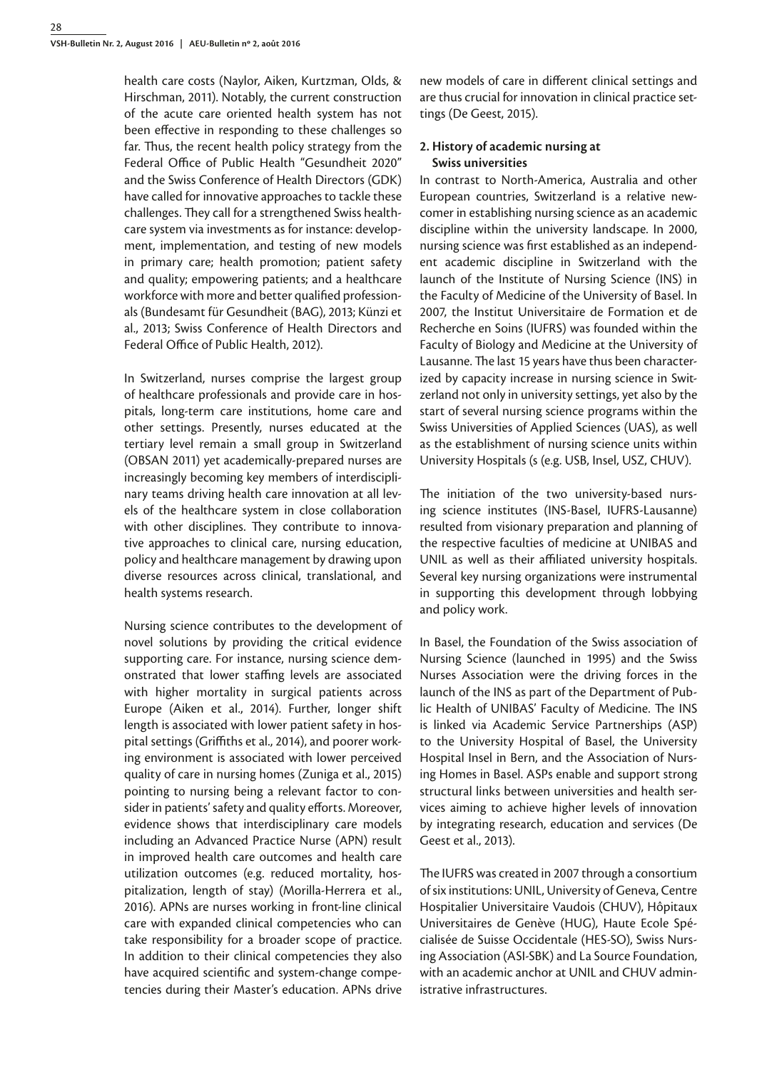health care costs (Naylor, Aiken, Kurtzman, Olds, & Hirschman, 2011). Notably, the current construction of the acute care oriented health system has not been effective in responding to these challenges so far. Thus, the recent health policy strategy from the Federal Office of Public Health "Gesundheit 2020" and the Swiss Conference of Health Directors (GDK) have called for innovative approaches to tackle these challenges. They call for a strengthened Swiss healthcare system via investments as for instance: development, implementation, and testing of new models in primary care; health promotion; patient safety and quality; empowering patients; and a healthcare workforce with more and better qualified professionals (Bundesamt für Gesundheit (BAG), 2013; Künzi et al., 2013; Swiss Conference of Health Directors and Federal Office of Public Health, 2012).

In Switzerland, nurses comprise the largest group of healthcare professionals and provide care in hospitals, long-term care institutions, home care and other settings. Presently, nurses educated at the tertiary level remain a small group in Switzerland (OBSAN 2011) yet academically-prepared nurses are increasingly becoming key members of interdisciplinary teams driving health care innovation at all levels of the healthcare system in close collaboration with other disciplines. They contribute to innovative approaches to clinical care, nursing education, policy and healthcare management by drawing upon diverse resources across clinical, translational, and health systems research.

Nursing science contributes to the development of novel solutions by providing the critical evidence supporting care. For instance, nursing science demonstrated that lower staffing levels are associated with higher mortality in surgical patients across Europe (Aiken et al., 2014). Further, longer shift length is associated with lower patient safety in hospital settings (Griffiths et al., 2014), and poorer working environment is associated with lower perceived quality of care in nursing homes (Zuniga et al., 2015) pointing to nursing being a relevant factor to consider in patients' safety and quality efforts. Moreover, evidence shows that interdisciplinary care models including an Advanced Practice Nurse (APN) result in improved health care outcomes and health care utilization outcomes (e.g. reduced mortality, hospitalization, length of stay) (Morilla-Herrera et al., 2016). APNs are nurses working in front-line clinical care with expanded clinical competencies who can take responsibility for a broader scope of practice. In addition to their clinical competencies they also have acquired scientific and system-change competencies during their Master's education. APNs drive

new models of care in different clinical settings and are thus crucial for innovation in clinical practice settings (De Geest, 2015).

## **2. History of academic nursing at Swiss universities**

In contrast to North-America, Australia and other European countries, Switzerland is a relative newcomer in establishing nursing science as an academic discipline within the university landscape. In 2000, nursing science was first established as an independent academic discipline in Switzerland with the launch of the Institute of Nursing Science (INS) in the Faculty of Medicine of the University of Basel. In 2007, the Institut Universitaire de Formation et de Recherche en Soins (IUFRS) was founded within the Faculty of Biology and Medicine at the University of Lausanne. The last 15 years have thus been characterized by capacity increase in nursing science in Switzerland not only in university settings, yet also by the start of several nursing science programs within the Swiss Universities of Applied Sciences (UAS), as well as the establishment of nursing science units within University Hospitals (s (e.g. USB, Insel, USZ, CHUV).

The initiation of the two university-based nursing science institutes (INS-Basel, IUFRS-Lausanne) resulted from visionary preparation and planning of the respective faculties of medicine at UNIBAS and UNIL as well as their affiliated university hospitals. Several key nursing organizations were instrumental in supporting this development through lobbying and policy work.

In Basel, the Foundation of the Swiss association of Nursing Science (launched in 1995) and the Swiss Nurses Association were the driving forces in the launch of the INS as part of the Department of Public Health of UNIBAS' Faculty of Medicine. The INS is linked via Academic Service Partnerships (ASP) to the University Hospital of Basel, the University Hospital Insel in Bern, and the Association of Nursing Homes in Basel. ASPs enable and support strong structural links between universities and health services aiming to achieve higher levels of innovation by integrating research, education and services (De Geest et al., 2013).

The IUFRS was created in 2007 through a consortium of six institutions: UNIL, University of Geneva, Centre Hospitalier Universitaire Vaudois (CHUV), Hôpitaux Universitaires de Genève (HUG), Haute Ecole Spécialisée de Suisse Occidentale (HES-SO), Swiss Nursing Association (ASI-SBK) and La Source Foundation, with an academic anchor at UNIL and CHUV administrative infrastructures.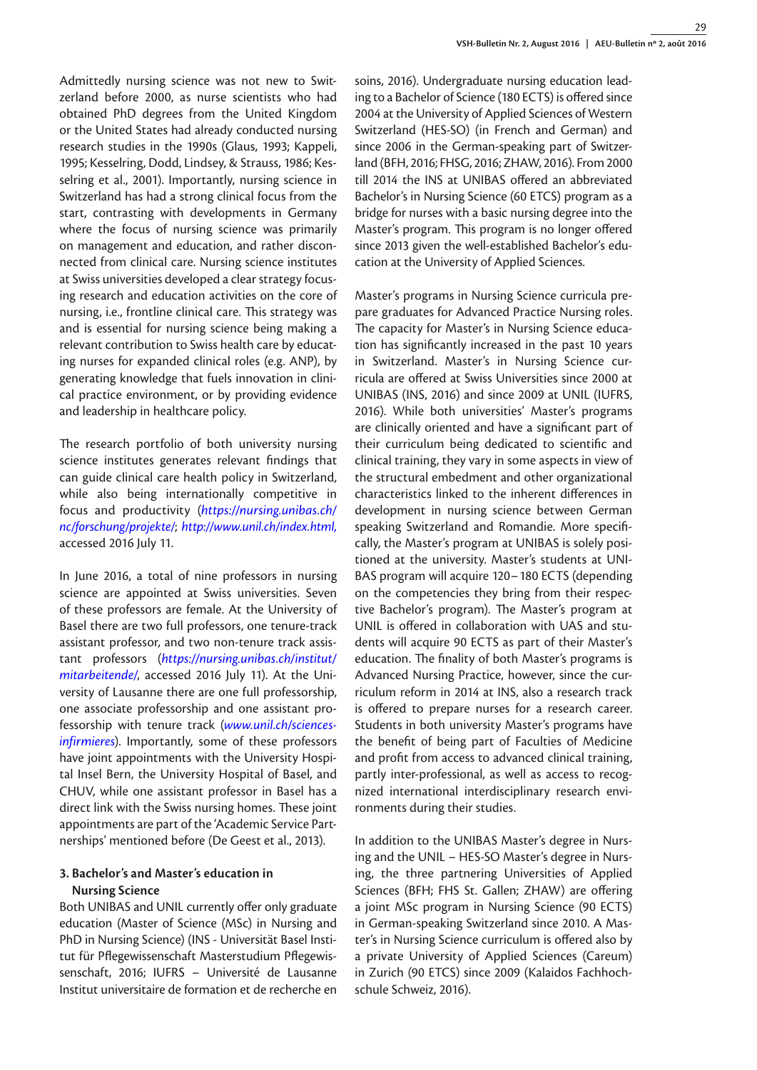Admittedly nursing science was not new to Switzerland before 2000, as nurse scientists who had obtained PhD degrees from the United Kingdom or the United States had already conducted nursing research studies in the 1990s (Glaus, 1993; Kappeli, 1995; Kesselring, Dodd, Lindsey, & Strauss, 1986; Kesselring et al., 2001). Importantly, nursing science in Switzerland has had a strong clinical focus from the start, contrasting with developments in Germany where the focus of nursing science was primarily on management and education, and rather disconnected from clinical care. Nursing science institutes at Swiss universities developed a clear strategy focusing research and education activities on the core of nursing, i.e., frontline clinical care. This strategy was and is essential for nursing science being making a relevant contribution to Swiss health care by educating nurses for expanded clinical roles (e.g. ANP), by generating knowledge that fuels innovation in clinical practice environment, or by providing evidence and leadership in healthcare policy.

The research portfolio of both university nursing science institutes generates relevant findings that can guide clinical care health policy in Switzerland, while also being internationally competitive in focus and productivity (*[https://nursing.unibas.ch/](https://nursing.unibas.ch/nc/forschung/projekte/) [nc/forschung/projekte/](https://nursing.unibas.ch/nc/forschung/projekte/)*; *http://www.unil.ch/index.html,* accessed 2016 July 11.

In June 2016, a total of nine professors in nursing science are appointed at Swiss universities. Seven of these professors are female. At the University of Basel there are two full professors, one tenure-track assistant professor, and two non-tenure track assistant professors (*[https://nursing.unibas.ch/institut/](https://nursing.unibas.ch/institut/mitarbeitende/) [mitarbeitende/](https://nursing.unibas.ch/institut/mitarbeitende/)*, accessed 2016 July 11). At the University of Lausanne there are one full professorship, one associate professorship and one assistant professorship with tenure track (*[www.unil.ch/sciences](http://www.unil.ch/sciences-infirmieres)[infirmieres](http://www.unil.ch/sciences-infirmieres)*). Importantly, some of these professors have joint appointments with the University Hospital Insel Bern, the University Hospital of Basel, and CHUV, while one assistant professor in Basel has a direct link with the Swiss nursing homes. These joint appointments are part of the 'Academic Service Partnerships' mentioned before (De Geest et al., 2013).

# **3. Bachelor's and Master's education in Nursing Science**

Both UNIBAS and UNIL currently offer only graduate education (Master of Science (MSc) in Nursing and PhD in Nursing Science) (INS - Universität Basel Institut für Pflegewissenschaft Masterstudium Pflegewissenschaft, 2016; IUFRS – Université de Lausanne Institut universitaire de formation et de recherche en soins, 2016). Undergraduate nursing education leading to a Bachelor of Science (180 ECTS) is offered since 2004 at the University of Applied Sciences of Western Switzerland (HES-SO) (in French and German) and since 2006 in the German-speaking part of Switzerland (BFH, 2016; FHSG, 2016; ZHAW, 2016). From 2000 till 2014 the INS at UNIBAS offered an abbreviated Bachelor's in Nursing Science (60 ETCS) program as a bridge for nurses with a basic nursing degree into the Master's program. This program is no longer offered since 2013 given the well-established Bachelor's education at the University of Applied Sciences.

Master's programs in Nursing Science curricula prepare graduates for Advanced Practice Nursing roles. The capacity for Master's in Nursing Science education has significantly increased in the past 10 years in Switzerland. Master's in Nursing Science curricula are offered at Swiss Universities since 2000 at UNIBAS (INS, 2016) and since 2009 at UNIL (IUFRS, 2016). While both universities' Master's programs are clinically oriented and have a significant part of their curriculum being dedicated to scientific and clinical training, they vary in some aspects in view of the structural embedment and other organizational characteristics linked to the inherent differences in development in nursing science between German speaking Switzerland and Romandie. More specifically, the Master's program at UNIBAS is solely positioned at the university. Master's students at UNI-BAS program will acquire 120–180 ECTS (depending on the competencies they bring from their respective Bachelor's program). The Master's program at UNIL is offered in collaboration with UAS and students will acquire 90 ECTS as part of their Master's education. The finality of both Master's programs is Advanced Nursing Practice, however, since the curriculum reform in 2014 at INS, also a research track is offered to prepare nurses for a research career. Students in both university Master's programs have the benefit of being part of Faculties of Medicine and profit from access to advanced clinical training, partly inter-professional, as well as access to recognized international interdisciplinary research environments during their studies.

In addition to the UNIBAS Master's degree in Nursing and the UNIL – HES-SO Master's degree in Nursing, the three partnering Universities of Applied Sciences (BFH; FHS St. Gallen; ZHAW) are offering a joint MSc program in Nursing Science (90 ECTS) in German-speaking Switzerland since 2010. A Master's in Nursing Science curriculum is offered also by a private University of Applied Sciences (Careum) in Zurich (90 ETCS) since 2009 (Kalaidos Fachhochschule Schweiz, 2016).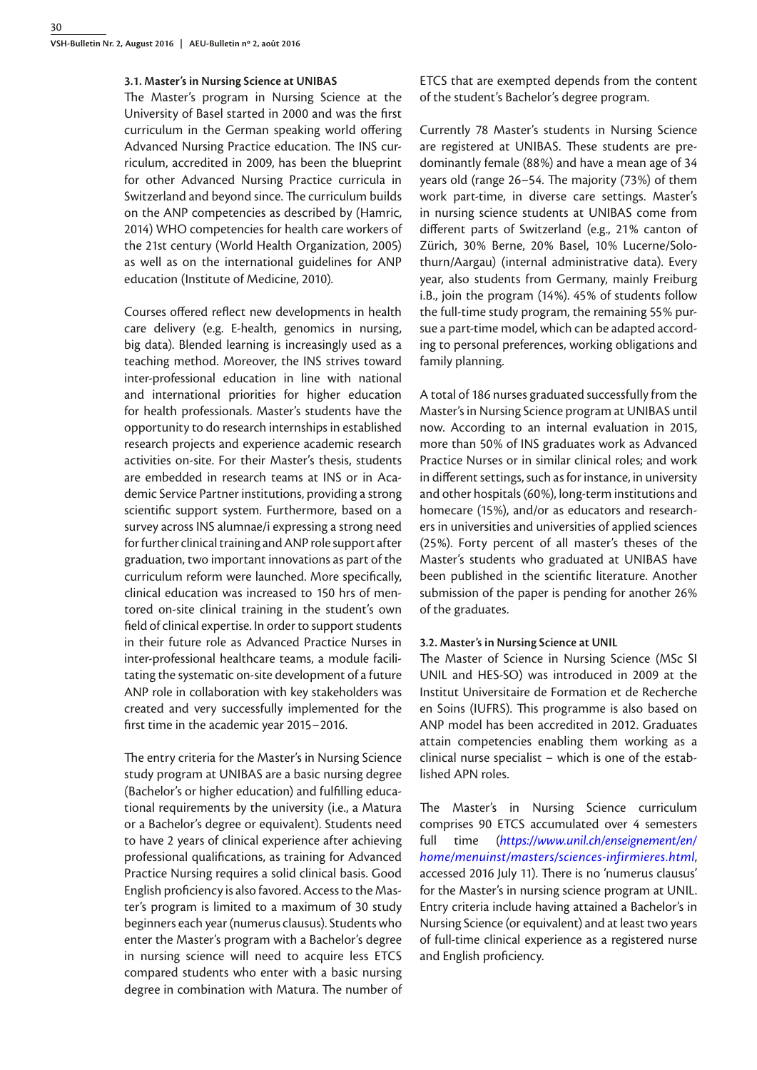#### **3.1. Master's in Nursing Science at UNIBAS**

The Master's program in Nursing Science at the University of Basel started in 2000 and was the first curriculum in the German speaking world offering Advanced Nursing Practice education. The INS curriculum, accredited in 2009, has been the blueprint for other Advanced Nursing Practice curricula in Switzerland and beyond since. The curriculum builds on the ANP competencies as described by (Hamric, 2014) WHO competencies for health care workers of the 21st century (World Health Organization, 2005) as well as on the international guidelines for ANP education (Institute of Medicine, 2010).

Courses offered reflect new developments in health care delivery (e.g. E-health, genomics in nursing, big data). Blended learning is increasingly used as a teaching method. Moreover, the INS strives toward inter-professional education in line with national and international priorities for higher education for health professionals. Master's students have the opportunity to do research internships in established research projects and experience academic research activities on-site. For their Master's thesis, students are embedded in research teams at INS or in Academic Service Partner institutions, providing a strong scientific support system. Furthermore, based on a survey across INS alumnae/i expressing a strong need for further clinical training and ANP role support after graduation, two important innovations as part of the curriculum reform were launched. More specifically, clinical education was increased to 150 hrs of mentored on-site clinical training in the student's own field of clinical expertise. In order to support students in their future role as Advanced Practice Nurses in inter-professional healthcare teams, a module facilitating the systematic on-site development of a future ANP role in collaboration with key stakeholders was created and very successfully implemented for the first time in the academic year 2015–2016.

The entry criteria for the Master's in Nursing Science study program at UNIBAS are a basic nursing degree (Bachelor's or higher education) and fulfilling educational requirements by the university (i.e., a Matura or a Bachelor's degree or equivalent). Students need to have 2 years of clinical experience after achieving professional qualifications, as training for Advanced Practice Nursing requires a solid clinical basis. Good English proficiency is also favored. Access to the Master's program is limited to a maximum of 30 study beginners each year (numerus clausus). Students who enter the Master's program with a Bachelor's degree in nursing science will need to acquire less ETCS compared students who enter with a basic nursing degree in combination with Matura. The number of

ETCS that are exempted depends from the content of the student's Bachelor's degree program.

Currently 78 Master's students in Nursing Science are registered at UNIBAS. These students are predominantly female (88%) and have a mean age of 34 years old (range 26–54. The majority (73%) of them work part-time, in diverse care settings. Master's in nursing science students at UNIBAS come from different parts of Switzerland (e.g., 21% canton of Zürich, 30% Berne, 20% Basel, 10% Lucerne/Solothurn/Aargau) (internal administrative data). Every year, also students from Germany, mainly Freiburg i.B., join the program (14%). 45% of students follow the full-time study program, the remaining 55% pursue a part-time model, which can be adapted according to personal preferences, working obligations and family planning.

A total of 186 nurses graduated successfully from the Master's in Nursing Science program at UNIBAS until now. According to an internal evaluation in 2015, more than 50% of INS graduates work as Advanced Practice Nurses or in similar clinical roles; and work in different settings, such as for instance, in university and other hospitals (60%), long-term institutions and homecare (15%), and/or as educators and researchers in universities and universities of applied sciences (25%). Forty percent of all master's theses of the Master's students who graduated at UNIBAS have been published in the scientific literature. Another submission of the paper is pending for another 26% of the graduates.

#### **3.2. Master's in Nursing Science at UNIL**

The Master of Science in Nursing Science (MSc SI UNIL and HES-SO) was introduced in 2009 at the Institut Universitaire de Formation et de Recherche en Soins (IUFRS). This programme is also based on ANP model has been accredited in 2012. Graduates attain competencies enabling them working as a clinical nurse specialist – which is one of the established APN roles.

The Master's in Nursing Science curriculum comprises 90 ETCS accumulated over 4 semesters full time (*https://www.unil.ch/enseignement/en/ home/menuinst/masters/sciences-infirmieres.html*, accessed 2016 July 11). There is no 'numerus clausus' for the Master's in nursing science program at UNIL. Entry criteria include having attained a Bachelor's in Nursing Science (or equivalent) and at least two years of full-time clinical experience as a registered nurse and English proficiency.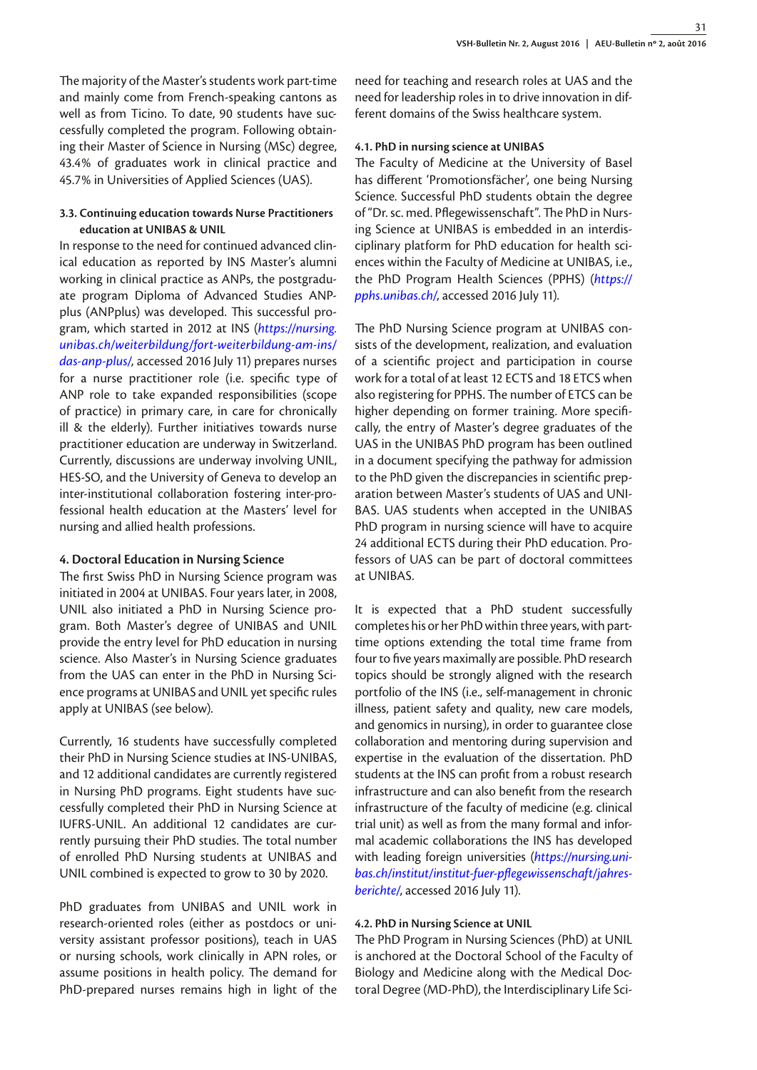The majority of the Master's students work part-time and mainly come from French-speaking cantons as well as from Ticino. To date, 90 students have successfully completed the program. Following obtaining their Master of Science in Nursing (MSc) degree, 43.4% of graduates work in clinical practice and 45.7% in Universities of Applied Sciences (UAS).

## **3.3. Continuing education towards Nurse Practitioners education at UNIBAS & UNIL**

In response to the need for continued advanced clinical education as reported by INS Master's alumni working in clinical practice as ANPs, the postgraduate program Diploma of Advanced Studies ANPplus (ANPplus) was developed. This successful program, which started in 2012 at INS (*[https://nursing.](https://nursing.unibas.ch/weiterbildung/fort-weiterbildung-am-ins/das-anp-plus/) [unibas.ch/weiterbildung/fort-weiterbildung-am-ins/](https://nursing.unibas.ch/weiterbildung/fort-weiterbildung-am-ins/das-anp-plus/) [das-anp-plus/](https://nursing.unibas.ch/weiterbildung/fort-weiterbildung-am-ins/das-anp-plus/)*, accessed 2016 July 11) prepares nurses for a nurse practitioner role (i.e. specific type of ANP role to take expanded responsibilities (scope of practice) in primary care, in care for chronically ill & the elderly). Further initiatives towards nurse practitioner education are underway in Switzerland. Currently, discussions are underway involving UNIL, HES-SO, and the University of Geneva to develop an inter-institutional collaboration fostering inter-professional health education at the Masters' level for nursing and allied health professions.

### **4. Doctoral Education in Nursing Science**

The first Swiss PhD in Nursing Science program was initiated in 2004 at UNIBAS. Four years later, in 2008, UNIL also initiated a PhD in Nursing Science program. Both Master's degree of UNIBAS and UNIL provide the entry level for PhD education in nursing science. Also Master's in Nursing Science graduates from the UAS can enter in the PhD in Nursing Science programs at UNIBAS and UNIL yet specific rules apply at UNIBAS (see below).

Currently, 16 students have successfully completed their PhD in Nursing Science studies at INS-UNIBAS, and 12 additional candidates are currently registered in Nursing PhD programs. Eight students have successfully completed their PhD in Nursing Science at IUFRS-UNIL. An additional 12 candidates are currently pursuing their PhD studies. The total number of enrolled PhD Nursing students at UNIBAS and UNIL combined is expected to grow to 30 by 2020.

PhD graduates from UNIBAS and UNIL work in research-oriented roles (either as postdocs or university assistant professor positions), teach in UAS or nursing schools, work clinically in APN roles, or assume positions in health policy. The demand for PhD-prepared nurses remains high in light of the need for teaching and research roles at UAS and the need for leadership roles in to drive innovation in different domains of the Swiss healthcare system.

### **4.1. PhD in nursing science at UNIBAS**

The Faculty of Medicine at the University of Basel has different 'Promotionsfächer', one being Nursing Science. Successful PhD students obtain the degree of "Dr. sc. med. Pflegewissenschaft". The PhD in Nursing Science at UNIBAS is embedded in an interdisciplinary platform for PhD education for health sciences within the Faculty of Medicine at UNIBAS, i.e., the PhD Program Health Sciences (PPHS) (*[https://](https://pphs.unibas.ch/) [pphs.unibas.ch/](https://pphs.unibas.ch/)*, accessed 2016 July 11).

The PhD Nursing Science program at UNIBAS consists of the development, realization, and evaluation of a scientific project and participation in course work for a total of at least 12 ECTS and 18 ETCS when also registering for PPHS. The number of ETCS can be higher depending on former training. More specifically, the entry of Master's degree graduates of the UAS in the UNIBAS PhD program has been outlined in a document specifying the pathway for admission to the PhD given the discrepancies in scientific preparation between Master's students of UAS and UNI-BAS. UAS students when accepted in the UNIBAS PhD program in nursing science will have to acquire 24 additional ECTS during their PhD education. Professors of UAS can be part of doctoral committees at UNIBAS.

It is expected that a PhD student successfully completes his or her PhD within three years, with parttime options extending the total time frame from four to five years maximally are possible. PhD research topics should be strongly aligned with the research portfolio of the INS (i.e., self-management in chronic illness, patient safety and quality, new care models, and genomics in nursing), in order to guarantee close collaboration and mentoring during supervision and expertise in the evaluation of the dissertation. PhD students at the INS can profit from a robust research infrastructure and can also benefit from the research infrastructure of the faculty of medicine (e.g. clinical trial unit) as well as from the many formal and informal academic collaborations the INS has developed with leading foreign universities (*[https://nursing.uni](https://nursing.unibas.ch/institut/institut-fuer-pflegewissenschaft/jahresberichte/)[bas.ch/institut/institut-fuer-pflegewissenschaft/jahres](https://nursing.unibas.ch/institut/institut-fuer-pflegewissenschaft/jahresberichte/)[berichte/](https://nursing.unibas.ch/institut/institut-fuer-pflegewissenschaft/jahresberichte/)*, accessed 2016 July 11).

### **4.2. PhD in Nursing Science at UNIL**

The PhD Program in Nursing Sciences (PhD) at UNIL is anchored at the Doctoral School of the Faculty of Biology and Medicine along with the Medical Doctoral Degree (MD-PhD), the Interdisciplinary Life Sci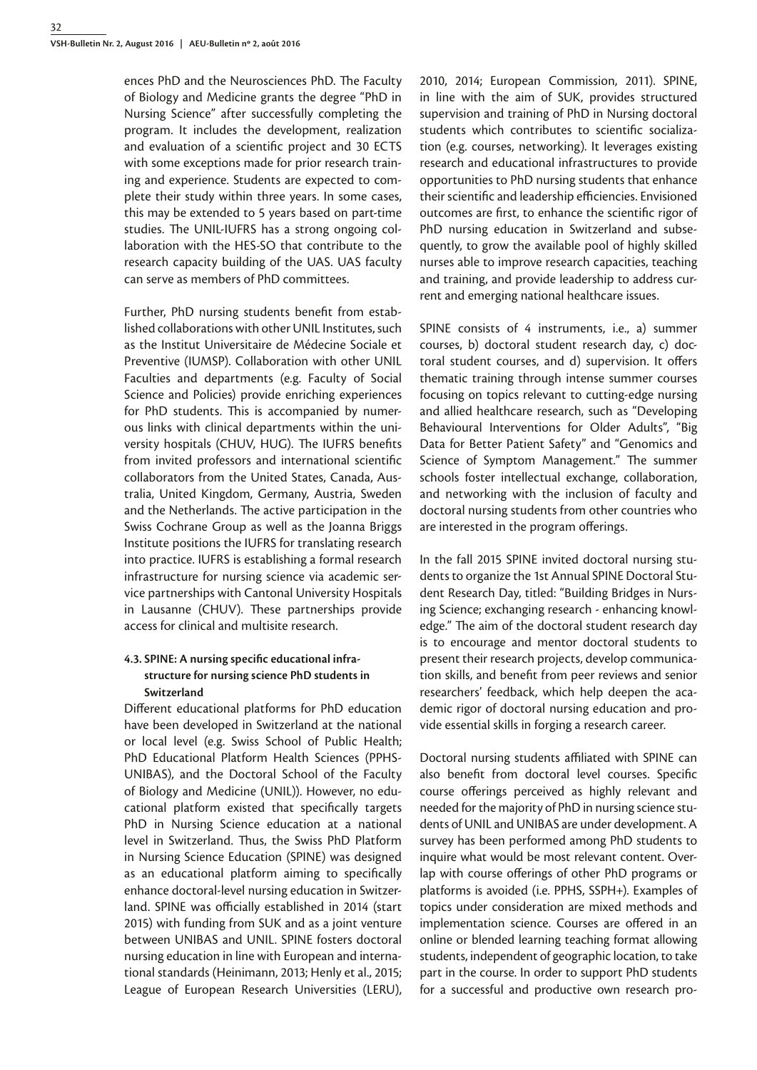ences PhD and the Neurosciences PhD. The Faculty of Biology and Medicine grants the degree "PhD in Nursing Science" after successfully completing the program. It includes the development, realization and evaluation of a scientific project and 30 ECTS with some exceptions made for prior research training and experience. Students are expected to complete their study within three years. In some cases, this may be extended to 5 years based on part-time studies. The UNIL-IUFRS has a strong ongoing collaboration with the HES-SO that contribute to the research capacity building of the UAS. UAS faculty can serve as members of PhD committees.

Further, PhD nursing students benefit from established collaborations with other UNIL Institutes, such as the Institut Universitaire de Médecine Sociale et Preventive (IUMSP). Collaboration with other UNIL Faculties and departments (e.g. Faculty of Social Science and Policies) provide enriching experiences for PhD students. This is accompanied by numerous links with clinical departments within the university hospitals (CHUV, HUG). The IUFRS benefits from invited professors and international scientific collaborators from the United States, Canada, Australia, United Kingdom, Germany, Austria, Sweden and the Netherlands. The active participation in the Swiss Cochrane Group as well as the Joanna Briggs Institute positions the IUFRS for translating research into practice. IUFRS is establishing a formal research infrastructure for nursing science via academic service partnerships with Cantonal University Hospitals in Lausanne (CHUV). These partnerships provide access for clinical and multisite research.

# **4.3. SPINE: A nursing specific educational infrastructure for nursing science PhD students in Switzerland**

Different educational platforms for PhD education have been developed in Switzerland at the national or local level (e.g. Swiss School of Public Health; PhD Educational Platform Health Sciences (PPHS-UNIBAS), and the Doctoral School of the Faculty of Biology and Medicine (UNIL)). However, no educational platform existed that specifically targets PhD in Nursing Science education at a national level in Switzerland. Thus, the Swiss PhD Platform in Nursing Science Education (SPINE) was designed as an educational platform aiming to specifically enhance doctoral-level nursing education in Switzerland. SPINE was officially established in 2014 (start 2015) with funding from SUK and as a joint venture between UNIBAS and UNIL. SPINE fosters doctoral nursing education in line with European and international standards (Heinimann, 2013; Henly et al., 2015; League of European Research Universities (LERU),

2010, 2014; European Commission, 2011). SPINE, in line with the aim of SUK, provides structured supervision and training of PhD in Nursing doctoral students which contributes to scientific socialization (e.g. courses, networking). It leverages existing research and educational infrastructures to provide opportunities to PhD nursing students that enhance their scientific and leadership efficiencies. Envisioned outcomes are first, to enhance the scientific rigor of PhD nursing education in Switzerland and subsequently, to grow the available pool of highly skilled nurses able to improve research capacities, teaching and training, and provide leadership to address current and emerging national healthcare issues.

SPINE consists of 4 instruments, i.e., a) summer courses, b) doctoral student research day, c) doctoral student courses, and d) supervision. It offers thematic training through intense summer courses focusing on topics relevant to cutting-edge nursing and allied healthcare research, such as "Developing Behavioural Interventions for Older Adults", "Big Data for Better Patient Safety" and "Genomics and Science of Symptom Management." The summer schools foster intellectual exchange, collaboration, and networking with the inclusion of faculty and doctoral nursing students from other countries who are interested in the program offerings.

In the fall 2015 SPINE invited doctoral nursing students to organize the 1st Annual SPINE Doctoral Student Research Day, titled: "Building Bridges in Nursing Science; exchanging research - enhancing knowledge." The aim of the doctoral student research day is to encourage and mentor doctoral students to present their research projects, develop communication skills, and benefit from peer reviews and senior researchers' feedback, which help deepen the academic rigor of doctoral nursing education and provide essential skills in forging a research career.

Doctoral nursing students affiliated with SPINE can also benefit from doctoral level courses. Specific course offerings perceived as highly relevant and needed for the majority of PhD in nursing science students of UNIL and UNIBAS are under development. A survey has been performed among PhD students to inquire what would be most relevant content. Overlap with course offerings of other PhD programs or platforms is avoided (i.e. PPHS, SSPH+). Examples of topics under consideration are mixed methods and implementation science. Courses are offered in an online or blended learning teaching format allowing students, independent of geographic location, to take part in the course. In order to support PhD students for a successful and productive own research pro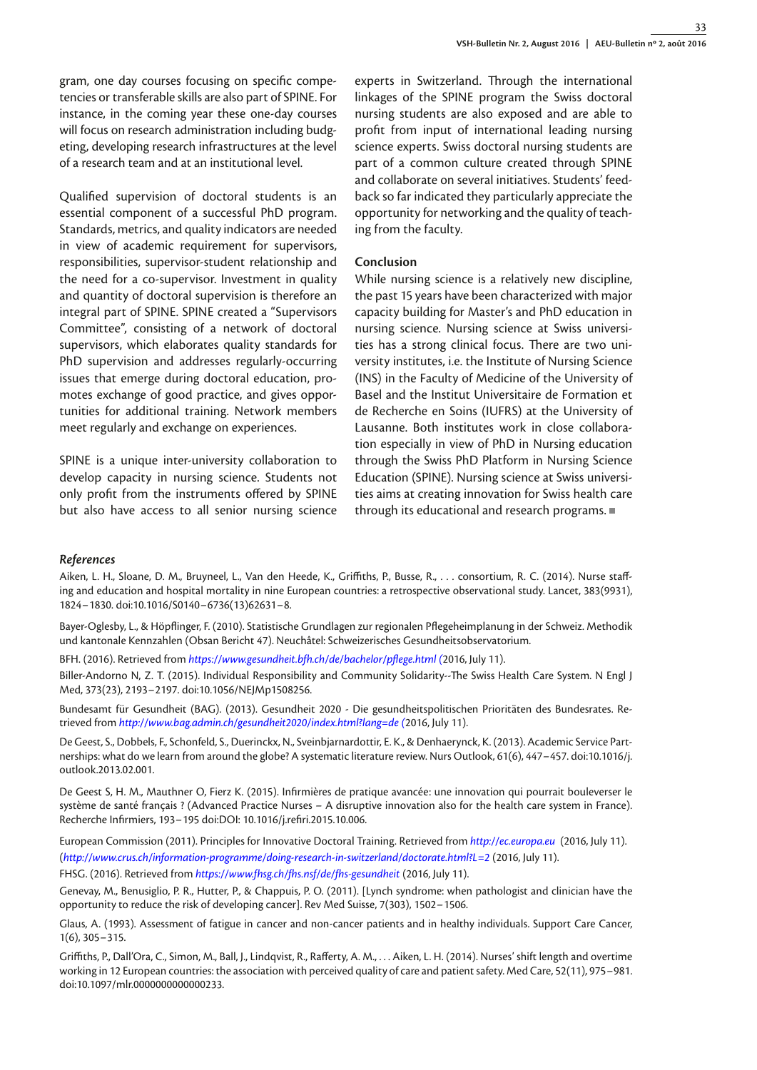gram, one day courses focusing on specific competencies or transferable skills are also part of SPINE. For instance, in the coming year these one-day courses will focus on research administration including budgeting, developing research infrastructures at the level of a research team and at an institutional level.

Qualified supervision of doctoral students is an essential component of a successful PhD program. Standards, metrics, and quality indicators are needed in view of academic requirement for supervisors, responsibilities, supervisor‐student relationship and the need for a co-supervisor. Investment in quality and quantity of doctoral supervision is therefore an integral part of SPINE. SPINE created a "Supervisors Committee", consisting of a network of doctoral supervisors, which elaborates quality standards for PhD supervision and addresses regularly-occurring issues that emerge during doctoral education, promotes exchange of good practice, and gives opportunities for additional training. Network members meet regularly and exchange on experiences.

SPINE is a unique inter-university collaboration to develop capacity in nursing science. Students not only profit from the instruments offered by SPINE but also have access to all senior nursing science

experts in Switzerland. Through the international linkages of the SPINE program the Swiss doctoral nursing students are also exposed and are able to profit from input of international leading nursing science experts. Swiss doctoral nursing students are part of a common culture created through SPINE and collaborate on several initiatives. Students' feedback so far indicated they particularly appreciate the opportunity for networking and the quality of teaching from the faculty.

#### **Conclusion**

While nursing science is a relatively new discipline, the past 15 years have been characterized with major capacity building for Master's and PhD education in nursing science. Nursing science at Swiss universities has a strong clinical focus. There are two university institutes, i.e. the Institute of Nursing Science (INS) in the Faculty of Medicine of the University of Basel and the Institut Universitaire de Formation et de Recherche en Soins (IUFRS) at the University of Lausanne. Both institutes work in close collaboration especially in view of PhD in Nursing education through the Swiss PhD Platform in Nursing Science Education (SPINE). Nursing science at Swiss universities aims at creating innovation for Swiss health care through its educational and research programs.

#### *References*

Aiken, L. H., Sloane, D. M., Bruyneel, L., Van den Heede, K., Griffiths, P., Busse, R., . . . consortium, R. C. (2014). Nurse staffing and education and hospital mortality in nine European countries: a retrospective observational study. Lancet, 383(9931), 1824–1830. doi:10.1016/S0140–6736(13)62631–8.

Bayer-Oglesby, L., & Höpflinger, F. (2010). Statistische Grundlagen zur regionalen Pflegeheimplanung in der Schweiz. Methodik und kantonale Kennzahlen (Obsan Bericht 47). Neuchâtel: Schweizerisches Gesundheitsobservatorium.

BFH. (2016). Retrieved from *<https://www.gesundheit.bfh.ch/de/bachelor/pflege.html> (*2016, July 11).

Biller-Andorno N, Z. T. (2015). Individual Responsibility and Community Solidarity--The Swiss Health Care System. N Engl J Med, 373(23), 2193–2197. doi:10.1056/NEJMp1508256.

Bundesamt für Gesundheit (BAG). (2013). Gesundheit 2020 - Die gesundheitspolitischen Prioritäten des Bundesrates. Retrieved from *<http://www.bag.admin.ch/gesundheit2020/index.html?lang=de>(*2016, July 11).

De Geest, S., Dobbels, F., Schonfeld, S., Duerinckx, N., Sveinbjarnardottir, E. K., & Denhaerynck, K. (2013). Academic Service Partnerships: what do we learn from around the globe? A systematic literature review. Nurs Outlook, 61(6), 447–457. doi:10.1016/j. outlook.2013.02.001.

De Geest S, H. M., Mauthner O, Fierz K. (2015). Infirmières de pratique avancée: une innovation qui pourrait bouleverser le système de santé français ? (Advanced Practice Nurses – A disruptive innovation also for the health care system in France). Recherche Infirmiers, 193–195 doi:DOI: 10.1016/j.refiri.2015.10.006.

European Commission (2011). Principles for Innovative Doctoral Training. Retrieved from *http://ec.europa.eu* (2016, July 11). (*<http://www.crus.ch/information-programme/doing-research-in-switzerland/doctorate.html?L=2>* (2016, July 11).

FHSG. (2016). Retrieved from *<https://www.fhsg.ch/fhs.nsf/de/fhs-gesundheit>*(2016, July 11).

Genevay, M., Benusiglio, P. R., Hutter, P., & Chappuis, P. O. (2011). [Lynch syndrome: when pathologist and clinician have the opportunity to reduce the risk of developing cancer]. Rev Med Suisse, 7(303), 1502–1506.

Glaus, A. (1993). Assessment of fatigue in cancer and non-cancer patients and in healthy individuals. Support Care Cancer, 1(6), 305–315.

Griffiths, P., Dall'Ora, C., Simon, M., Ball, J., Lindqvist, R., Rafferty, A. M., . . . Aiken, L. H. (2014). Nurses' shift length and overtime working in 12 European countries: the association with perceived quality of care and patient safety. Med Care, 52(11), 975–981. doi:10.1097/mlr.0000000000000233.